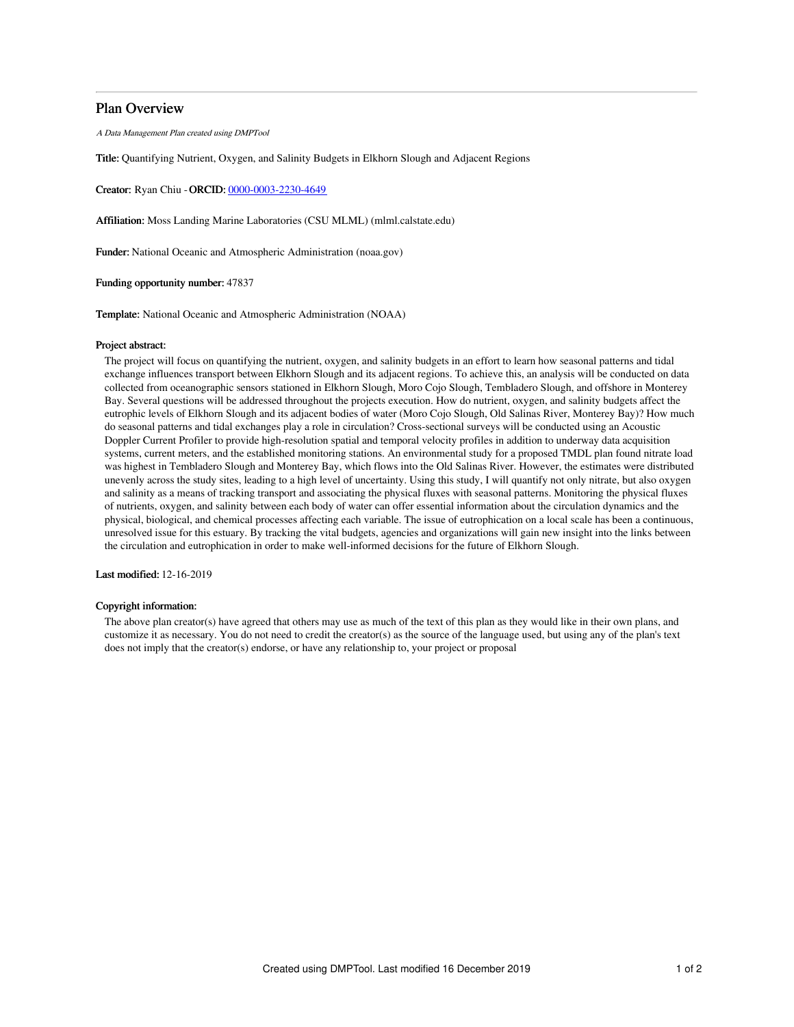## Plan Overview

A Data Management Plan created using DMPTool

Title: Quantifying Nutrient, Oxygen, and Salinity Budgets in Elkhorn Slough and Adjacent Regions

Creator: Ryan Chiu -ORCID: [0000-0003-2230-4649](https://orcid.org/0000-0003-2230-4649)

Affiliation: Moss Landing Marine Laboratories (CSU MLML) (mlml.calstate.edu)

Funder: National Oceanic and Atmospheric Administration (noaa.gov)

Funding opportunity number: 47837

Template: National Oceanic and Atmospheric Administration (NOAA)

### Project abstract:

The project will focus on quantifying the nutrient, oxygen, and salinity budgets in an effort to learn how seasonal patterns and tidal exchange influences transport between Elkhorn Slough and its adjacent regions. To achieve this, an analysis will be conducted on data collected from oceanographic sensors stationed in Elkhorn Slough, Moro Cojo Slough, Tembladero Slough, and offshore in Monterey Bay. Several questions will be addressed throughout the projects execution. How do nutrient, oxygen, and salinity budgets affect the eutrophic levels of Elkhorn Slough and its adjacent bodies of water (Moro Cojo Slough, Old Salinas River, Monterey Bay)? How much do seasonal patterns and tidal exchanges play a role in circulation? Cross-sectional surveys will be conducted using an Acoustic Doppler Current Profiler to provide high-resolution spatial and temporal velocity profiles in addition to underway data acquisition systems, current meters, and the established monitoring stations. An environmental study for a proposed TMDL plan found nitrate load was highest in Tembladero Slough and Monterey Bay, which flows into the Old Salinas River. However, the estimates were distributed unevenly across the study sites, leading to a high level of uncertainty. Using this study, I will quantify not only nitrate, but also oxygen and salinity as a means of tracking transport and associating the physical fluxes with seasonal patterns. Monitoring the physical fluxes of nutrients, oxygen, and salinity between each body of water can offer essential information about the circulation dynamics and the physical, biological, and chemical processes affecting each variable. The issue of eutrophication on a local scale has been a continuous, unresolved issue for this estuary. By tracking the vital budgets, agencies and organizations will gain new insight into the links between the circulation and eutrophication in order to make well-informed decisions for the future of Elkhorn Slough.

Last modified: 12-16-2019

### Copyright information:

The above plan creator(s) have agreed that others may use as much of the text of this plan as they would like in their own plans, and customize it as necessary. You do not need to credit the creator(s) as the source of the language used, but using any of the plan's text does not imply that the creator(s) endorse, or have any relationship to, your project or proposal